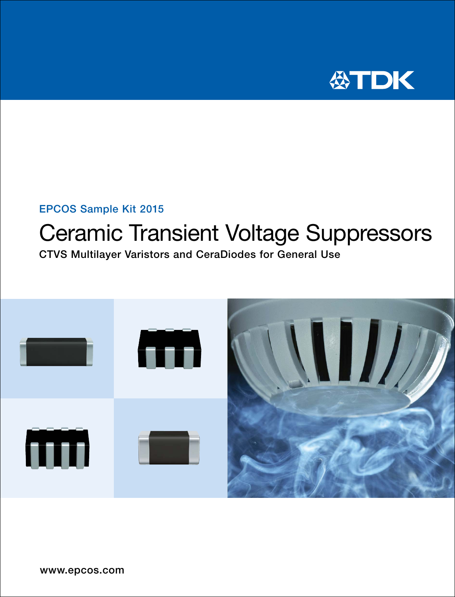

### EPCOS Sample Kit 2015

# Ceramic Transient Voltage Suppressors

CTVS Multilayer Varistors and CeraDiodes for General Use

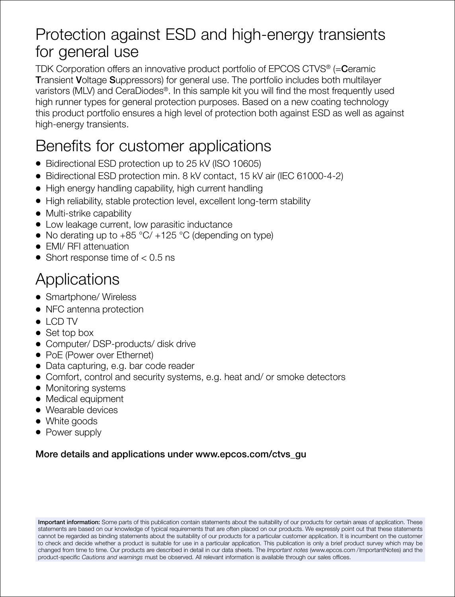## Protection against ESD and high-energy transients for general use

TDK Corporation offers an innovative product portfolio of EPCOS CTVS® (= Ceramic Transient Voltage Suppressors) for general use. The portfolio includes both multilayer varistors (MLV) and CeraDiodes®. In this sample kit you will find the most frequently used high runner types for general protection purposes. Based on a new coating technology this product portfolio ensures a high level of protection both against ESD as well as against high-energy transients.

### Benefits for customer applications

- Bidirectional ESD protection up to 25 kV (ISO 10605)
- Bidirectional ESD protection min. 8 kV contact, 15 kV air (IEC 61000-4-2)
- High energy handling capability, high current handling
- High reliability, stable protection level, excellent long-term stability
- Multi-strike capability
- Low leakage current, low parasitic inductance
- No derating up to  $+85 \degree C/ +125 \degree C$  (depending on type)
- EMI/ RFI attenuation
- Short response time of  $< 0.5$  ns

## **Applications**

- Smartphone/ Wireless
- NFC antenna protection
- $\bullet$  LCD TV
- Set top box
- Computer/ DSP-products/ disk drive
- PoE (Power over Ethernet)
- Data capturing, e.g. bar code reader
- Comfort, control and security systems, e.g. heat and/ or smoke detectors
- Monitoring systems
- Medical equipment
- Wearable devices
- White goods
- Power supply

### More details and applications under www.epcos.com/ctvs\_gu

Important information: Some parts of this publication contain statements about the suitability of our products for certain areas of application. These statements are based on our knowledge of typical requirements that are often placed on our products. We expressly point out that these statements cannot be regarded as binding statements about the suitability of our products for a particular customer application. It is incumbent on the customer to check and decide whether a product is suitable for use in a particular application. This publication is only a brief product survey which may be changed from time to time. Our products are described in detail in our data sheets. The *Important notes* (www.epcos.com /ImportantNotes) and the product-specific *Cautions and warnings* must be observed. All relevant information is available through our sales offices.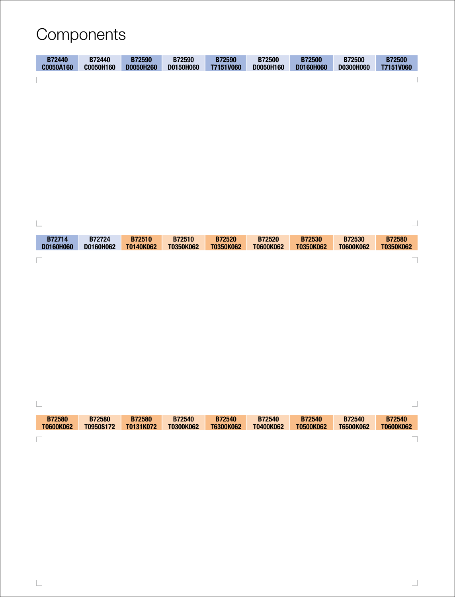## Components

| <b>B72440</b> | B72440    | <b>B72590</b> | B72590        | <b>B72590</b> | <b>B72500</b> | <b>B72500</b> | <b>B72500</b> | <b>B72500</b> |
|---------------|-----------|---------------|---------------|---------------|---------------|---------------|---------------|---------------|
| C0050A160     | C0050H160 | D0050H260     | D0150H060     | T7151V060     | D0050H160     | D0160H060     | D0300H060     | T7151V060     |
|               |           |               |               |               |               |               |               |               |
|               |           |               |               |               |               |               |               |               |
|               |           |               |               |               |               |               |               |               |
|               |           |               |               |               |               |               |               |               |
|               |           |               |               |               |               |               |               |               |
|               |           |               |               |               |               |               |               |               |
|               |           |               |               |               |               |               |               |               |
|               |           |               |               |               |               |               |               |               |
|               |           |               |               |               |               |               |               |               |
|               |           |               |               |               |               |               |               |               |
|               |           |               |               |               |               |               |               |               |
|               |           |               |               |               |               |               |               |               |
|               |           |               |               |               |               |               |               |               |
|               |           |               |               |               |               |               |               |               |
| B72714        | B72724    | <b>B72510</b> | <b>B72510</b> | <b>B72520</b> | <b>B72520</b> | B72530        | B72530        | <b>B72580</b> |
| D0160H060     | D0160H062 | T0140K062     | T0350K062     | T0350K062     | T0600K062     | T0350K062     | T0600K062     | T0350K062     |
|               |           |               |               |               |               |               |               |               |
|               |           |               |               |               |               |               |               |               |
|               |           |               |               |               |               |               |               |               |
|               |           |               |               |               |               |               |               |               |
|               |           |               |               |               |               |               |               |               |
|               |           |               |               |               |               |               |               |               |
|               |           |               |               |               |               |               |               |               |
|               |           |               |               |               |               |               |               |               |
|               |           |               |               |               |               |               |               |               |
|               |           |               |               |               |               |               |               |               |
|               |           |               |               |               |               |               |               |               |

| <b>B72580</b> | <b>B72580</b> | <b>B72580</b> | <b>B72540</b> | <b>B72540</b> | <b>B72540</b> | <b>B72540</b> | <b>B72540</b> | <b>B72540</b> |
|---------------|---------------|---------------|---------------|---------------|---------------|---------------|---------------|---------------|
| T0600K062     | T0950S172     | T0131K072     | T0300K062     | T6300K062     | T0400K062     | T0500K062     | T6500K062     | T0600K062     |
| $\sim$        |               |               |               |               |               |               |               |               |

 $\overline{\phantom{0}}$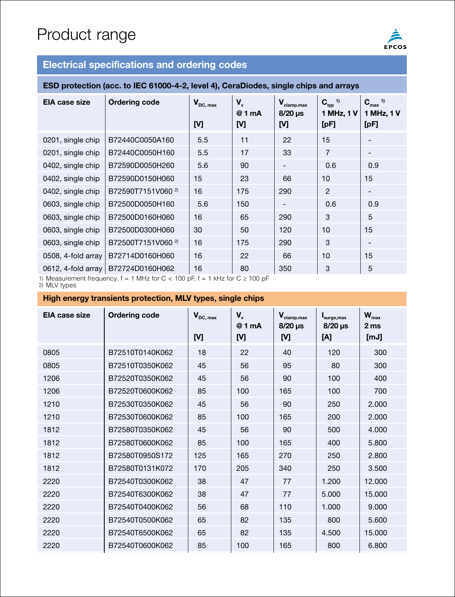## Product range



### **Electrical specifications and ordering codes**

#### **ESD protection (acc. to IEC 61000-4-2, level 4), CeraDiodes, single chips and arrays**

| EIA case size      | Ordering code                 | $V_{DC, max}$<br>M | V,<br>@ 1 mA<br>M | $V_{\text{clamp.max}}$<br>$8/20 \,\mu s$<br>M | $C_{typ}$ <sup>1)</sup><br>1 MHz, 1 V<br>[pF] | $C_{max}$ <sup>1)</sup><br>1 MHz, 1 V<br>[pF] |
|--------------------|-------------------------------|--------------------|-------------------|-----------------------------------------------|-----------------------------------------------|-----------------------------------------------|
| 0201, single chip  | B72440C0050A160               | 5.5                | 11                | 22                                            | 15                                            | $\qquad \qquad$                               |
| 0201, single chip  | B72440C0050H160               | 5.5                | 17                | 33                                            | $\overline{7}$                                | $\qquad \qquad$                               |
| 0402, single chip  | B72590D0050H260               | 5.6                | 90                | -                                             | 0.6                                           | 0.9                                           |
| 0402, single chip  | B72590D0150H060               | 15                 | 23                | 66                                            | 10                                            | 15                                            |
| 0402, single chip  | B72590T7151V060 <sup>2)</sup> | 16                 | 175               | 290                                           | 2                                             | $\qquad \qquad$                               |
| 0603, single chip  | B72500D0050H160               | 5.6                | 150               | -                                             | 0.6                                           | 0.9                                           |
| 0603, single chip  | B72500D0160H060               | 16                 | 65                | 290                                           | 3                                             | 5                                             |
| 0603, single chip  | B72500D0300H060               | 30                 | 50                | 120                                           | 10                                            | 15                                            |
| 0603, single chip  | B72500T7151V060 <sup>2)</sup> | 16                 | 175               | 290                                           | 3                                             | $\qquad \qquad$                               |
| 0508, 4-fold array | B72714D0160H060               | 16                 | 22                | 66                                            | 10                                            | 15                                            |
| 0612, 4-fold array | B72724D0160H062               | 16                 | 80                | 350                                           | 3                                             | 5                                             |

1) Measurement frequency:  $f = 1$  MHz for  $C < 100$  pF,  $f = 1$  kHz for  $C \ge 100$  pF 2) MLV types

#### **High energy transients protection, MLV types, single chips**

| EIA case size | <b>Ordering code</b> | $V_{DC, max}$<br>M | V,<br>@ 1 mA<br>[V] | $\mathbf{V}_{\text{clamp.max}}$<br>$8/20$ µs<br>M | surge, max<br>$8/20$ µs<br>[A] | $W_{\text{max}}$<br>2 <sub>ms</sub><br>[mJ] |
|---------------|----------------------|--------------------|---------------------|---------------------------------------------------|--------------------------------|---------------------------------------------|
| 0805          | B72510T0140K062      | 18                 | 22                  | 40                                                | 120                            | 300                                         |
| 0805          | B72510T0350K062      | 45                 | 56                  | 95                                                | 80                             | 300                                         |
| 1206          | B72520T0350K062      | 45                 | 56                  | 90                                                | 100                            | 400                                         |
| 1206          | B72520T0600K062      | 85                 | 100                 | 165                                               | 100                            | 700                                         |
| 1210          | B72530T0350K062      | 45                 | 56                  | 90                                                | 250                            | 2.000                                       |
| 1210          | B72530T0600K062      | 85                 | 100                 | 165                                               | 200                            | 2.000                                       |
| 1812          | B72580T0350K062      | 45                 | 56                  | 90                                                | 500                            | 4.000                                       |
| 1812          | B72580T0600K062      | 85                 | 100                 | 165                                               | 400                            | 5.800                                       |
| 1812          | B72580T0950S172      | 125                | 165                 | 270                                               | 250                            | 2.800                                       |
| 1812          | B72580T0131K072      | 170                | 205                 | 340                                               | 250                            | 3.500                                       |
| 2220          | B72540T0300K062      | 38                 | 47                  | 77                                                | 1.200                          | 12.000                                      |
| 2220          | B72540T6300K062      | 38                 | 47                  | 77                                                | 5.000                          | 15,000                                      |
| 2220          | B72540T0400K062      | 56                 | 68                  | 110                                               | 1.000                          | 9.000                                       |
| 2220          | B72540T0500K062      | 65                 | 82                  | 135                                               | 800                            | 5.600                                       |
| 2220          | B72540T6500K062      | 65                 | 82                  | 135                                               | 4.500                          | 15.000                                      |
| 2220          | B72540T0600K062      | 85                 | 100                 | 165                                               | 800                            | 6.800                                       |